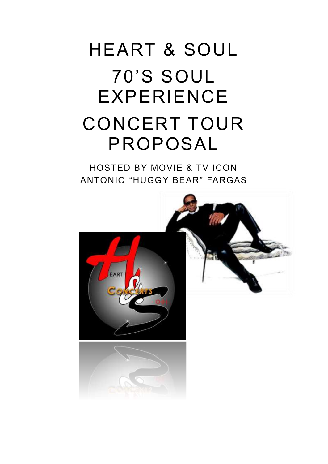# HEART & SOUL 70'S SOUL EXPERIENCE CONCERT TOUR PROPOSAL

HOSTED BY MOVIE & TV ICON ANTONIO "HUGGY BEAR" FARGAS

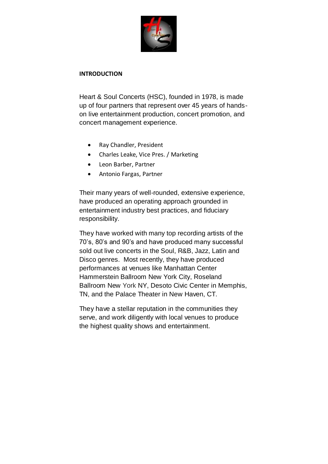

#### **INTRODUCTION**

Heart & Soul Concerts (HSC), founded in 1978, is made up of four partners that represent over 45 years of handson live entertainment production, concert promotion, and concert management experience.

- Ray Chandler, President
- Charles Leake, Vice Pres. / Marketing
- Leon Barber, Partner
- Antonio Fargas, Partner

Their many years of well-rounded, extensive experience, have produced an operating approach grounded in entertainment industry best practices, and fiduciary responsibility.

They have worked with many top recording artists of the 70's, 80's and 90's and have produced many successful sold out live concerts in the Soul, R&B, Jazz, Latin and Disco genres. Most recently, they have produced performances at venues like Manhattan Center Hammerstein Ballroom New York City, Roseland Ballroom New York NY, Desoto Civic Center in Memphis, TN, and the Palace Theater in New Haven, CT.

They have a stellar reputation in the communities they serve, and work diligently with local venues to produce the highest quality shows and entertainment.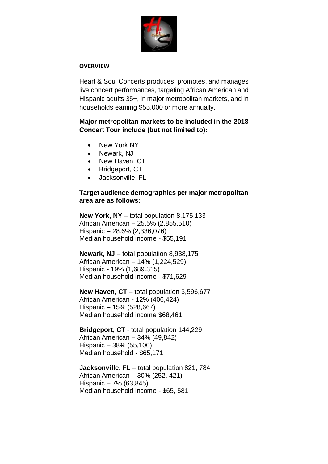

#### **OVERVIEW**

Heart & Soul Concerts produces, promotes, and manages live concert performances, targeting African American and Hispanic adults 35+, in major metropolitan markets, and in households earning \$55,000 or more annually.

## **Major metropolitan markets to be included in the 2018 Concert Tour include (but not limited to):**

- New York NY
- Newark, NJ
- New Haven, CT
- Bridgeport, CT
- Jacksonville, FL

## **Target audience demographics per major metropolitan area are as follows:**

**New York, NY** – total population 8,175,133 African American – 25.5% (2,855,510) Hispanic – 28.6% (2,336,076) Median household income - \$55,191

**Newark, NJ** – total population 8,938,175 African American – 14% (1,224,529) Hispanic - 19% (1,689.315) Median household income - \$71,629

**New Haven, CT** – total population 3,596,677 African American - 12% (406,424) Hispanic – 15% (528,667) Median household income \$68,461

**Bridgeport, CT** - total population 144,229 African American – 34% (49,842) Hispanic – 38% (55,100) Median household - \$65,171

**Jacksonville, FL** – total population 821, 784 African American – 30% (252, 421) Hispanic – 7% (63,845) Median household income - \$65, 581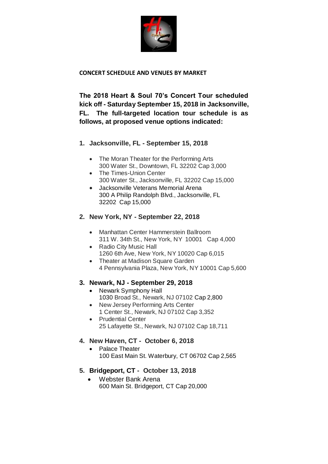

## **CONCERT SCHEDULE AND VENUES BY MARKET**

**The 2018 Heart & Soul 70's Concert Tour scheduled kick off - Saturday September 15, 2018 in Jacksonville, FL. The full-targeted location tour schedule is as follows, at proposed venue options indicated:**

## **1. Jacksonville, FL - September 15, 2018**

- The Moran Theater for the Performing Arts 300 Water St., Downtown, FL 32202 Cap 3,000
- The Times-Union Center 300 Water St., Jacksonville, FL 32202 Cap 15,000
- Jacksonville Veterans Memorial Arena 300 A Philip Randolph Blvd., Jacksonville, FL 32202 Cap 15,000

## **2. New York, NY - September 22, 2018**

- Manhattan Center Hammerstein Ballroom 311 W. 34th St., New York, NY 10001 Cap 4,000
- Radio City Music Hall 1260 6th Ave, New York, NY 10020 Cap 6,015
- Theater at Madison Square Garden 4 Pennsylvania Plaza, New York, NY 10001 Cap 5,600

## **3. Newark, NJ - September 29, 2018**

- Newark Symphony Hall 1030 Broad St., Newark, NJ 07102 Cap 2,800
- New Jersey Performing Arts Center 1 Center St., Newark, NJ 07102 Cap 3,352
- Prudential Center 25 Lafayette St., Newark, NJ 07102 Cap 18,711

## **4. New Haven, CT - October 6, 2018**

• Palace Theater 100 East Main St. Waterbury, CT 06702 Cap 2,565

## **5. Bridgeport, CT - October 13, 2018**

 Webster Bank Arena 600 Main St. Bridgeport, CT Cap 20,000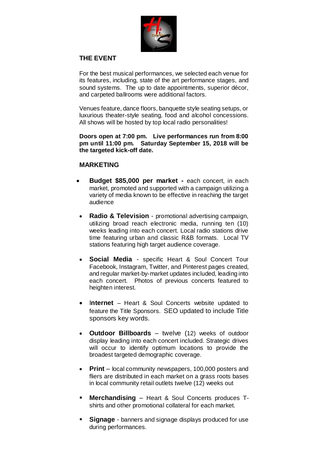

## **THE EVENT**

For the best musical performances, we selected each venue for its features, including, state of the art performance stages, and sound systems. The up to date appointments, superior décor, and carpeted ballrooms were additional factors.

Venues feature, dance floors, banquette style seating setups, or luxurious theater-style seating, food and alcohol concessions. All shows will be hosted by top local radio personalities!

**Doors open at 7:00 pm. Live performances run from 8:00 pm until 11:00 pm. Saturday September 15, 2018 will be the targeted kick-off date.**

#### **MARKETING**

- **Budget \$85,000 per market -** each concert, in each market, promoted and supported with a campaign utilizing a variety of media known to be effective in reaching the target audience
- **Radio & Television**  promotional advertising campaign, utilizing broad reach electronic media, running ten (10) weeks leading into each concert. Local radio stations drive time featuring urban and classic R&B formats. Local TV stations featuring high target audience coverage.
- **Social Media** specific Heart & Soul Concert Tour Facebook, Instagram, Twitter, and Pinterest pages created, and regular market-by-market updates included, leading into each concert. Photos of previous concerts featured to heighten interest.
- **Internet** Heart & Soul Concerts website updated to feature the Title Sponsors. SEO updated to include Title sponsors key words.
- **Outdoor Billboards** twelve (12) weeks of outdoor display leading into each concert included. Strategic drives will occur to identify optimum locations to provide the broadest targeted demographic coverage.
- **Print** local community newspapers, 100,000 posters and fliers are distributed in each market on a grass roots bases in local community retail outlets twelve (12) weeks out
- **Merchandising** Heart & Soul Concerts produces Tshirts and other promotional collateral for each market.
- **Signage** banners and signage displays produced for use during performances.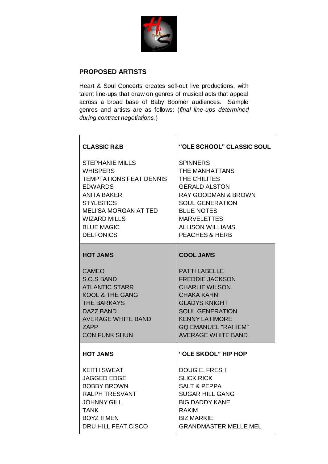

## **PROPOSED ARTISTS**

Heart & Soul Concerts creates sell-out live productions, with talent line-ups that draw on genres of musical acts that appeal across a broad base of Baby Boomer audiences. Sample genres and artists are as follows: (*final line-ups determined during contract negotiations*.)

| <b>CLASSIC R&amp;B</b>         | "OLE SCHOOL" CLASSIC SOUL      |
|--------------------------------|--------------------------------|
| <b>STEPHANIE MILLS</b>         | <b>SPINNERS</b>                |
| <b>WHISPERS</b>                | THE MANHATTANS                 |
| <b>TEMPTATIONS FEAT DENNIS</b> | THE CHILITES                   |
| <b>EDWARDS</b>                 | <b>GERALD ALSTON</b>           |
| <b>ANITA BAKER</b>             | <b>RAY GOODMAN &amp; BROWN</b> |
| <b>STYLISTICS</b>              | <b>SOUL GENERATION</b>         |
| <b>MELI'SA MORGAN AT TED</b>   | <b>BLUE NOTES</b>              |
| <b>WIZARD MILLS</b>            | <b>MARVELETTES</b>             |
| <b>BLUE MAGIC</b>              | <b>ALLISON WILLIAMS</b>        |
| <b>DELFONICS</b>               | <b>PEACHES &amp; HERB</b>      |
| <b>HOT JAMS</b>                | <b>COOL JAMS</b>               |
| <b>CAMEO</b>                   | <b>PATTI LABELLE</b>           |
| <b>S.O.S BAND</b>              | <b>FREDDIE JACKSON</b>         |
| <b>ATLANTIC STARR</b>          | <b>CHARLIE WILSON</b>          |
| <b>KOOL &amp; THE GANG</b>     | <b>CHAKA KAHN</b>              |
| <b>THE BARKAYS</b>             | <b>GLADYS KNIGHT</b>           |
| DAZZ BAND                      | <b>SOUL GENERATION</b>         |
| <b>AVERAGE WHITE BAND</b>      | <b>KENNY LATIMORE</b>          |
| 7APP                           | <b>GQ EMANUEL "RAHIEM"</b>     |
| <b>CON FUNK SHUN</b>           | <b>AVERAGE WHITE BAND</b>      |
| <b>HOT JAMS</b>                | "OLE SKOOL" HIP HOP            |
| <b>KEITH SWEAT</b>             | <b>DOUG E. FRESH</b>           |
| JAGGED EDGE                    | <b>SLICK RICK</b>              |
| <b>BOBBY BROWN</b>             | <b>SALT &amp; PEPPA</b>        |
| <b>RALPH TRESVANT</b>          | <b>SUGAR HILL GANG</b>         |
| <b>JOHNNY GILL</b>             | <b>BIG DADDY KANE</b>          |
| <b>TANK</b>                    | <b>RAKIM</b>                   |
| <b>BOYZ II MEN</b>             | <b>BIZ MARKIE</b>              |
| <b>DRU HILL FEAT.CISCO</b>     | <b>GRANDMASTER MELLE MEL</b>   |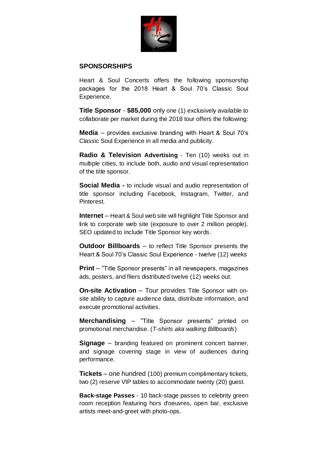

## **SPONSORSHIPS**

Heart & Soul Concerts offers the following sponsorship packages for the 2018 Heart & Soul 70's Classic Soul Experience.

**Title Sponsor** - **\$85,000** only one (1) exclusively available to collaborate per market during the 2018 tour offers the following:

**Media** – provides exclusive branding with Heart & Soul 70's Classic Soul Experience in all media and publicity.

**Radio & Television Advertising** - Ten (10) weeks out in multiple cities, to include both, audio and visual representation of the title sponsor.

**Social Media -** to include visual and audio representation of title sponsor including Facebook, Instagram, Twitter, and Pinterest.

**Internet** – Heart & Soul web site will highlight Title Sponsor and link to corporate web site (exposure to over 2 million people). SEO updated to include Title Sponsor key words.

**Outdoor Billboards** – to reflect Title Sponsor presents the Heart & Soul 70's Classic Soul Experience - twelve (12) weeks

**Print** – "Title Sponsor presents" in all newspapers, magazines ads, posters, and fliers distributed twelve (12) weeks out.

**On-site Activation** – Tour provides Title Sponsor with onsite ability to capture audience data, distribute information, and execute promotional activities.

**Merchandising** – "Title Sponsor presents" printed on promotional merchandise. (*T-shirts aka walking Billboards*)

**Signage** – branding featured on prominent concert banner, and signage covering stage in view of audiences during performance.

**Tickets** – one hundred (100) premium complimentary tickets, two (2) reserve VIP tables to accommodate twenty (20) guest.

**Back-stage Passes** - 10 back-stage passes to celebrity green room reception featuring hors d'oeuvres, open bar, exclusive artists meet-and-greet with photo-ops.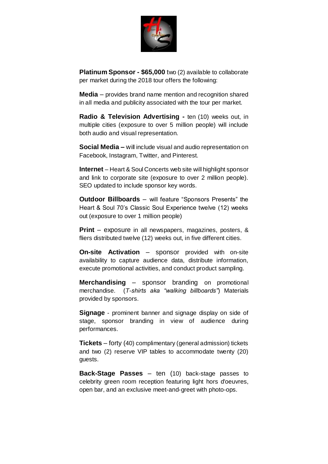

**Platinum Sponsor - \$65,000** two (2) available to collaborate per market during the 2018 tour offers the following:

**Media** – provides brand name mention and recognition shared in all media and publicity associated with the tour per market.

**Radio & Television Advertising -** ten (10) weeks out, in multiple cities (exposure to over 5 million people) will include both audio and visual representation.

**Social Media –** will include visual and audio representation on Facebook, Instagram, Twitter, and Pinterest.

**Internet** – Heart & Soul Concerts web site will highlight sponsor and link to corporate site (exposure to over 2 million people). SEO updated to include sponsor key words.

**Outdoor Billboards** – will feature "Sponsors Presents" the Heart & Soul 70's Classic Soul Experience twelve (12) weeks out (exposure to over 1 million people)

**Print** – exposure in all newspapers, magazines, posters, & fliers distributed twelve (12) weeks out, in five different cities.

**On-site Activation** – sponsor provided with on-site availability to capture audience data, distribute information, execute promotional activities, and conduct product sampling.

**Merchandising** – sponsor branding on promotional merchandise. (*T-shirts aka "walking billboards"*) Materials provided by sponsors.

**Signage** - prominent banner and signage display on side of stage, sponsor branding in view of audience during performances.

**Tickets** – forty (40) complimentary (general admission) tickets and two (2) reserve VIP tables to accommodate twenty (20) guests.

**Back-Stage Passes** – ten (10) back-stage passes to celebrity green room reception featuring light hors d'oeuvres, open bar, and an exclusive meet-and-greet with photo-ops.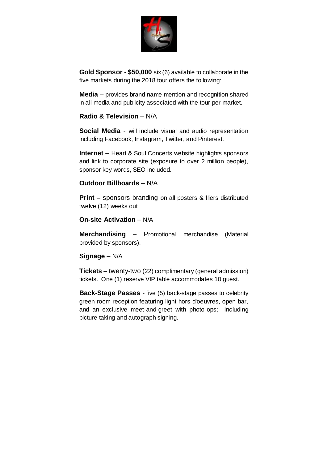

**Gold Sponsor - \$50,000** six (6) available to collaborate in the five markets during the 2018 tour offers the following:

**Media** – provides brand name mention and recognition shared in all media and publicity associated with the tour per market.

## **Radio & Television** – N/A

**Social Media** - will include visual and audio representation including Facebook, Instagram, Twitter, and Pinterest.

**Internet** – Heart & Soul Concerts website highlights sponsors and link to corporate site (exposure to over 2 million people), sponsor key words, SEO included.

## **Outdoor Billboards** – N/A

**Print –** sponsors branding on all posters & fliers distributed twelve (12) weeks out

## **On-site Activation** – N/A

**Merchandising** – Promotional merchandise (Material provided by sponsors).

## **Signage** – N/A

**Tickets** – twenty-two (22) complimentary (general admission) tickets. One (1) reserve VIP table accommodates 10 guest.

**Back-Stage Passes** - five (5) back-stage passes to celebrity green room reception featuring light hors d'oeuvres, open bar, and an exclusive meet-and-greet with photo-ops; including picture taking and autograph signing.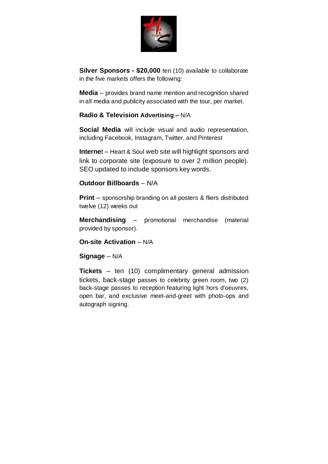

**Silver Sponsors - \$20,000** ten (10) available to collaborate in the five markets offers the following:

**Media** – provides brand name mention and recognition shared in all media and publicity associated with the tour, per market.

## **Radio & Television Advertising –** N/A

**Social Media** will include visual and audio representation, including Facebook, Instagram, Twitter, and Pinterest

**Interne**t – Heart & Soul web site will highlight sponsors and link to corporate site (exposure to over 2 million people). SEO updated to include sponsors key words.

## **Outdoor Billboards** – N/A

**Print** – sponsorship branding on all posters & fliers distributed twelve (12) weeks out

**Merchandising** – promotional merchandise (material provided by sponsor).

## **On-site Activation** – N/A

## **Signage** – N/A

**Tickets** – ten (10) complimentary general admission tickets, back-stage passes to celebrity green room, two (2) back-stage passes to reception featuring light hors d'oeuvres, open bar, and exclusive meet-and-greet with photo-ops and autograph signing.